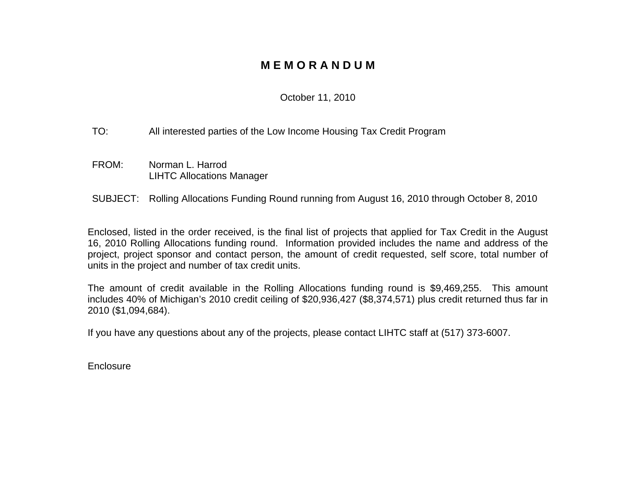# **M E M O R A N D U M**

#### October 11, 2010

#### TO: All interested parties of the Low Income Housing Tax Credit Program

- FROM: Norman L. Harrod LIHTC Allocations Manager
- SUBJECT: Rolling Allocations Funding Round running from August 16, 2010 through October 8, 2010

Enclosed, listed in the order received, is the final list of projects that applied for Tax Credit in the August 16, 2010 Rolling Allocations funding round. Information provided includes the name and address of the project, project sponsor and contact person, the amount of credit requested, self score, total number of units in the project and number of tax credit units.

The amount of credit available in the Rolling Allocations funding round is \$9,469,255. This amount includes 40% of Michigan's 2010 credit ceiling of \$20,936,427 (\$8,374,571) plus credit returned thus far in 2010 (\$1,094,684).

If you have any questions about any of the projects, please contact LIHTC staff at (517) 373-6007.

**Enclosure**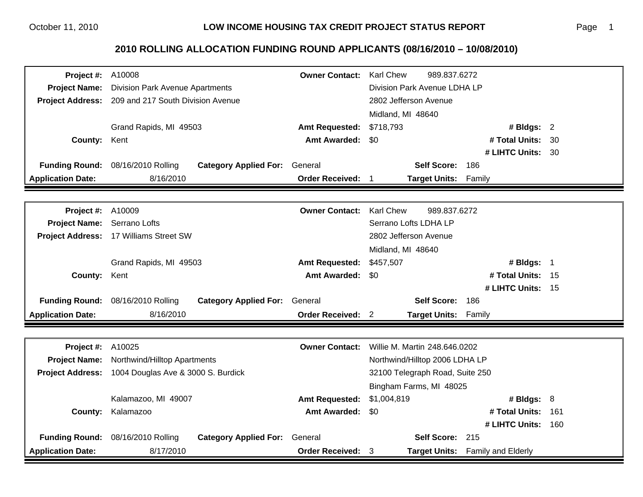| <b>Project #: A10008</b>           |                                                                        | <b>Owner Contact:</b>  | <b>Karl Chew</b><br>989.837.6272 |  |  |
|------------------------------------|------------------------------------------------------------------------|------------------------|----------------------------------|--|--|
| <b>Project Name:</b>               | <b>Division Park Avenue Apartments</b><br>Division Park Avenue LDHA LP |                        |                                  |  |  |
|                                    | Project Address: 209 and 217 South Division Avenue                     | 2802 Jefferson Avenue  |                                  |  |  |
|                                    |                                                                        |                        | Midland, MI 48640                |  |  |
|                                    | Grand Rapids, MI 49503                                                 | <b>Amt Requested:</b>  | \$718,793<br># Bldgs: $2$        |  |  |
| County:                            | Kent                                                                   | <b>Amt Awarded:</b>    | # Total Units: 30<br>\$0         |  |  |
|                                    |                                                                        |                        | # LIHTC Units: 30                |  |  |
| <b>Funding Round:</b>              | 08/16/2010 Rolling<br><b>Category Applied For:</b>                     | General                | <b>Self Score:</b><br>186        |  |  |
| <b>Application Date:</b>           | 8/16/2010                                                              | <b>Order Received:</b> | Family<br><b>Target Units:</b>   |  |  |
|                                    |                                                                        |                        |                                  |  |  |
| <b>Project #: A10009</b>           |                                                                        | <b>Owner Contact:</b>  | <b>Karl Chew</b><br>989.837.6272 |  |  |
| Project Name: Serrano Lofts        |                                                                        |                        | Serrano Lofts LDHA LP            |  |  |
|                                    | Project Address: 17 Williams Street SW                                 |                        | 2802 Jefferson Avenue            |  |  |
|                                    |                                                                        |                        | Midland, MI 48640                |  |  |
|                                    | Grand Rapids, MI 49503                                                 | <b>Amt Requested:</b>  | \$457,507<br># Bldgs: 1          |  |  |
| <b>County:</b>                     | Kent                                                                   | Amt Awarded: \$0       | # Total Units: 15                |  |  |
|                                    |                                                                        |                        | # LIHTC Units: 15                |  |  |
| <b>Funding Round:</b>              | 08/16/2010 Rolling<br><b>Category Applied For:</b>                     | General                | <b>Self Score:</b><br>186        |  |  |
| <b>Application Date:</b>           | 8/16/2010                                                              | Order Received: 2      | <b>Target Units:</b><br>Family   |  |  |
|                                    |                                                                        |                        |                                  |  |  |
|                                    | A10025                                                                 | <b>Owner Contact:</b>  | Willie M. Martin 248.646.0202    |  |  |
| Project #:<br><b>Project Name:</b> |                                                                        |                        |                                  |  |  |
|                                    | Northwind/Hilltop Apartments                                           |                        | Northwind/Hilltop 2006 LDHA LP   |  |  |
| <b>Project Address:</b>            | 1004 Douglas Ave & 3000 S. Burdick                                     |                        | 32100 Telegraph Road, Suite 250  |  |  |
|                                    |                                                                        |                        | Bingham Farms, MI 48025          |  |  |
|                                    | Kalamazoo, MI 49007                                                    | <b>Amt Requested:</b>  | \$1,004,819<br># Bldgs: $8$      |  |  |
| County:                            | Kalamazoo                                                              | <b>Amt Awarded:</b>    | # Total Units: 161<br>\$0        |  |  |
|                                    |                                                                        |                        | # LIHTC Units: 160               |  |  |
| <b>Funding Round:</b>              | 08/16/2010 Rolling<br><b>Category Applied For:</b>                     | General                | <b>Self Score:</b><br>215        |  |  |
| <b>Application Date:</b>           | 8/17/2010                                                              | Order Received: 3      | Target Units: Family and Elderly |  |  |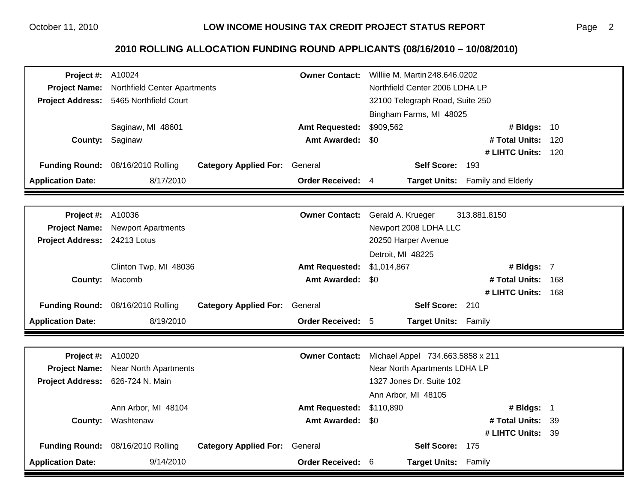| <b>Project #: A10024</b>     |                                        |                                      |                                 | <b>Owner Contact:</b> Williie M. Martin 248,646,0202 |                                  |     |
|------------------------------|----------------------------------------|--------------------------------------|---------------------------------|------------------------------------------------------|----------------------------------|-----|
| <b>Project Name:</b>         | Northfield Center Apartments           |                                      | Northfield Center 2006 LDHA LP  |                                                      |                                  |     |
|                              | Project Address: 5465 Northfield Court |                                      | 32100 Telegraph Road, Suite 250 |                                                      |                                  |     |
|                              |                                        |                                      |                                 | Bingham Farms, MI 48025                              |                                  |     |
|                              | Saginaw, MI 48601                      |                                      | <b>Amt Requested:</b>           | \$909,562                                            | # Bldgs: 10                      |     |
|                              | County: Saginaw                        |                                      | <b>Amt Awarded:</b>             | -SO                                                  | # Total Units:                   | 120 |
|                              |                                        |                                      |                                 |                                                      | # LIHTC Units: 120               |     |
| <b>Funding Round:</b>        | 08/16/2010 Rolling                     | <b>Category Applied For:</b>         | General                         | Self Score: 193                                      |                                  |     |
| <b>Application Date:</b>     | 8/17/2010                              |                                      | <b>Order Received: 4</b>        |                                                      | Target Units: Family and Elderly |     |
|                              |                                        |                                      |                                 |                                                      |                                  |     |
| <b>Project #: A10036</b>     |                                        |                                      | <b>Owner Contact:</b>           | Gerald A. Krueger                                    | 313.881.8150                     |     |
| <b>Project Name:</b>         | <b>Newport Apartments</b>              |                                      |                                 | Newport 2008 LDHA LLC                                |                                  |     |
| Project Address: 24213 Lotus |                                        |                                      |                                 | 20250 Harper Avenue                                  |                                  |     |
|                              |                                        |                                      |                                 | Detroit, MI 48225                                    |                                  |     |
|                              | Clinton Twp, MI 48036                  |                                      | <b>Amt Requested:</b>           | \$1,014,867                                          | # Bldgs: 7                       |     |
| County:                      | Macomb                                 |                                      | Amt Awarded: \$0                |                                                      | # Total Units:                   | 168 |
|                              |                                        |                                      |                                 |                                                      | # LIHTC Units: 168               |     |
| <b>Funding Round:</b>        | 08/16/2010 Rolling                     | <b>Category Applied For: General</b> |                                 | Self Score: 210                                      |                                  |     |
| <b>Application Date:</b>     | 8/19/2010                              |                                      | <b>Order Received: 5</b>        | <b>Target Units: Family</b>                          |                                  |     |
|                              |                                        |                                      |                                 |                                                      |                                  |     |
| <b>Project #: A10020</b>     |                                        |                                      | <b>Owner Contact:</b>           | Michael Appel 734.663.5858 x 211                     |                                  |     |
| <b>Project Name:</b>         | <b>Near North Apartments</b>           |                                      |                                 | Near North Apartments LDHA LP                        |                                  |     |
| <b>Project Address:</b>      | 626-724 N. Main                        |                                      | 1327 Jones Dr. Suite 102        |                                                      |                                  |     |
|                              |                                        |                                      |                                 | Ann Arbor, MI 48105                                  |                                  |     |
|                              | Ann Arbor, MI 48104                    |                                      | <b>Amt Requested:</b>           | \$110,890                                            | # Bldgs: $1$                     |     |
| County:                      | Washtenaw                              |                                      | <b>Amt Awarded:</b>             | -SO                                                  | # Total Units: 39                |     |
|                              |                                        |                                      |                                 |                                                      | # LIHTC Units: 39                |     |
| <b>Funding Round:</b>        | 08/16/2010 Rolling                     | <b>Category Applied For:</b>         | General                         | Self Score: 175                                      |                                  |     |
| <b>Application Date:</b>     | 9/14/2010                              |                                      | Order Received: 6               | <b>Target Units: Family</b>                          |                                  |     |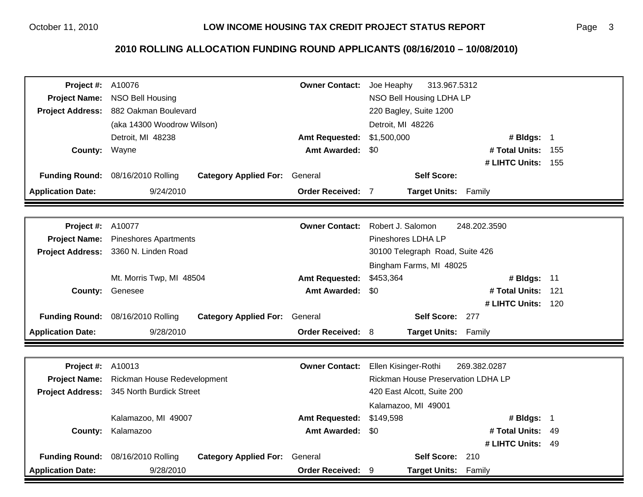| Project #:               | A10076                                             | <b>Owner Contact:</b>  | Joe Heaphy<br>313.967.5312                |       |  |
|--------------------------|----------------------------------------------------|------------------------|-------------------------------------------|-------|--|
| <b>Project Name:</b>     | NSO Bell Housing                                   |                        | NSO Bell Housing LDHA LP                  |       |  |
| <b>Project Address:</b>  | 882 Oakman Boulevard                               |                        | 220 Bagley, Suite 1200                    |       |  |
|                          | (aka 14300 Woodrow Wilson)                         |                        | Detroit, MI 48226                         |       |  |
|                          | Detroit, MI 48238                                  | <b>Amt Requested:</b>  | \$1,500,000<br># Bldgs: 1                 |       |  |
| County: Wayne            |                                                    | <b>Amt Awarded:</b>    | # Total Units: 155<br>\$0                 |       |  |
|                          |                                                    |                        | # LIHTC Units: 155                        |       |  |
| <b>Funding Round:</b>    | 08/16/2010 Rolling<br><b>Category Applied For:</b> | General                | <b>Self Score:</b>                        |       |  |
| <b>Application Date:</b> | 9/24/2010                                          | Order Received: 7      | <b>Target Units:</b><br>Family            |       |  |
|                          |                                                    |                        |                                           |       |  |
| Project #:               | A10077                                             | <b>Owner Contact:</b>  | Robert J. Salomon<br>248.202.3590         |       |  |
| <b>Project Name:</b>     | <b>Pineshores Apartments</b>                       |                        | Pineshores LDHA LP                        |       |  |
| <b>Project Address:</b>  | 3360 N. Linden Road                                |                        | 30100 Telegraph Road, Suite 426           |       |  |
|                          |                                                    |                        | Bingham Farms, MI 48025                   |       |  |
|                          | Mt. Morris Twp, MI 48504                           | <b>Amt Requested:</b>  | \$453,364<br># Bldgs: 11                  |       |  |
| County:                  | Genesee                                            | <b>Amt Awarded:</b>    | # Total Units:<br>\$0                     | - 121 |  |
|                          |                                                    |                        | # LIHTC Units: 120                        |       |  |
| <b>Funding Round:</b>    | 08/16/2010 Rolling<br><b>Category Applied For:</b> | General                | Self Score: 277                           |       |  |
| <b>Application Date:</b> | 9/28/2010                                          | Order Received: 8      | Target Units: Family                      |       |  |
|                          |                                                    |                        |                                           |       |  |
| Project #:               | A10013                                             | <b>Owner Contact:</b>  | Ellen Kisinger-Rothi<br>269.382.0287      |       |  |
| <b>Project Name:</b>     | Rickman House Redevelopment                        |                        | <b>Rickman House Preservation LDHA LP</b> |       |  |
| <b>Project Address:</b>  | 345 North Burdick Street                           |                        | 420 East Alcott, Suite 200                |       |  |
|                          |                                                    |                        | Kalamazoo, MI 49001                       |       |  |
|                          | Kalamazoo, MI 49007                                | <b>Amt Requested:</b>  | # Bldgs: 1<br>\$149,598                   |       |  |
| County:                  | Kalamazoo                                          | <b>Amt Awarded:</b>    | # Total Units: 49<br>\$0                  |       |  |
|                          |                                                    |                        | # LIHTC Units: 49                         |       |  |
| <b>Funding Round:</b>    | 08/16/2010 Rolling<br><b>Category Applied For:</b> | General                | <b>Self Score:</b><br>210                 |       |  |
| <b>Application Date:</b> | 9/28/2010                                          | <b>Order Received:</b> | -9<br><b>Target Units:</b><br>Family      |       |  |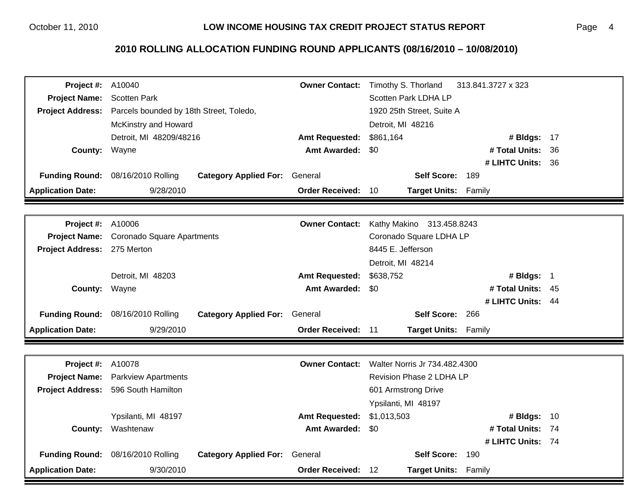| Project #:                  | A10040                                                                    | <b>Owner Contact:</b>                        | Timothy S. Thorland                                 | 313.841.3727 x 323 |     |
|-----------------------------|---------------------------------------------------------------------------|----------------------------------------------|-----------------------------------------------------|--------------------|-----|
| <b>Project Name:</b>        | <b>Scotten Park</b>                                                       | Scotten Park LDHA LP                         |                                                     |                    |     |
|                             | Project Address: Parcels bounded by 18th Street, Toledo,                  | 1920 25th Street, Suite A                    |                                                     |                    |     |
|                             | McKinstry and Howard                                                      |                                              | Detroit, MI 48216                                   |                    |     |
|                             | Detroit, MI 48209/48216                                                   | <b>Amt Requested:</b>                        | \$861,164                                           | # Bldgs: 17        |     |
| County: Wayne               |                                                                           | <b>Amt Awarded:</b>                          | -\$0                                                | # Total Units:     | -36 |
|                             |                                                                           |                                              |                                                     | # LIHTC Units: 36  |     |
|                             | Funding Round: 08/16/2010 Rolling<br><b>Category Applied For:</b> General |                                              | Self Score: 189                                     |                    |     |
| <b>Application Date:</b>    | 9/28/2010                                                                 | <b>Order Received:</b>                       | 10<br>Target Units: Family                          |                    |     |
|                             |                                                                           |                                              |                                                     |                    |     |
| <b>Project #: A10006</b>    |                                                                           | <b>Owner Contact:</b>                        | Kathy Makino 313.458.8243                           |                    |     |
|                             | Project Name: Coronado Square Apartments                                  |                                              | Coronado Square LDHA LP                             |                    |     |
| Project Address: 275 Merton |                                                                           |                                              | 8445 E. Jefferson                                   |                    |     |
|                             |                                                                           |                                              | Detroit, MI 48214                                   |                    |     |
|                             | Detroit, MI 48203                                                         | <b>Amt Requested:</b>                        | \$638,752                                           | # Bldgs: 1         |     |
| County: Wayne               |                                                                           | <b>Amt Awarded:</b>                          | \$0                                                 | # Total Units: 45  |     |
|                             |                                                                           |                                              |                                                     | # LIHTC Units: 44  |     |
|                             | Funding Round: 08/16/2010 Rolling<br><b>Category Applied For: General</b> |                                              | Self Score: 266                                     |                    |     |
| <b>Application Date:</b>    | 9/29/2010                                                                 | <b>Order Received:</b>                       | $-11$<br><b>Target Units: Family</b>                |                    |     |
|                             |                                                                           |                                              |                                                     |                    |     |
| <b>Project #: A10078</b>    |                                                                           | <b>Owner Contact:</b>                        | Walter Norris Jr 734.482.4300                       |                    |     |
| <b>Project Name:</b>        | <b>Parkview Apartments</b>                                                |                                              | Revision Phase 2 LDHA LP                            |                    |     |
|                             | Project Address: 596 South Hamilton                                       |                                              | 601 Armstrong Drive                                 |                    |     |
|                             |                                                                           |                                              |                                                     |                    |     |
|                             |                                                                           |                                              | Ypsilanti, MI 48197<br>\$1,013,503<br># Bldgs: $10$ |                    |     |
|                             | Ypsilanti, MI 48197                                                       | <b>Amt Requested:</b><br><b>Amt Awarded:</b> | \$0                                                 | # Total Units: 74  |     |
| County:                     | Washtenaw                                                                 |                                              |                                                     | # LIHTC Units: 74  |     |
| <b>Funding Round:</b>       | 08/16/2010 Rolling<br><b>Category Applied For: General</b>                |                                              | Self Score: 190                                     |                    |     |
| <b>Application Date:</b>    | 9/30/2010                                                                 | <b>Order Received:</b>                       | 12<br><b>Target Units: Family</b>                   |                    |     |
|                             |                                                                           |                                              |                                                     |                    |     |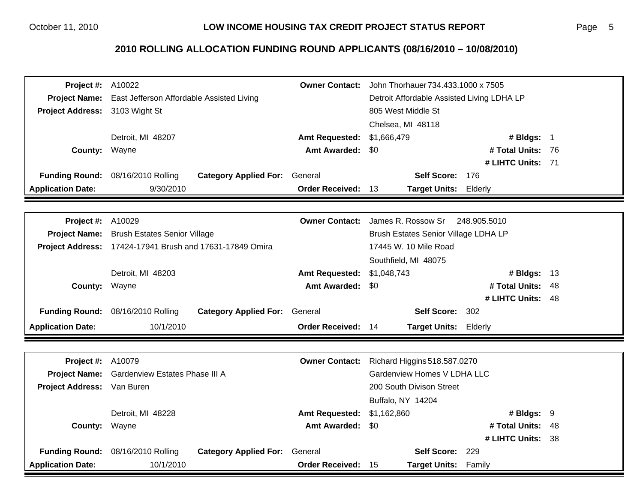| <b>Project #: A10022</b>       | <b>Owner Contact:</b>                                             |                        | John Thorhauer 734.433.1000 x 7505         |                   |    |
|--------------------------------|-------------------------------------------------------------------|------------------------|--------------------------------------------|-------------------|----|
|                                | <b>Project Name:</b> East Jefferson Affordable Assisted Living    |                        | Detroit Affordable Assisted Living LDHA LP |                   |    |
| Project Address: 3103 Wight St |                                                                   |                        | 805 West Middle St                         |                   |    |
|                                |                                                                   |                        | Chelsea, MI 48118                          |                   |    |
|                                | Detroit, MI 48207                                                 | <b>Amt Requested:</b>  | \$1,666,479                                | # Bldgs: 1        |    |
| County: Wayne                  |                                                                   | <b>Amt Awarded:</b>    | \$0                                        | # Total Units: 76 |    |
|                                |                                                                   |                        |                                            | # LIHTC Units: 71 |    |
|                                | Funding Round: 08/16/2010 Rolling<br><b>Category Applied For:</b> | General                | <b>Self Score:</b>                         | 176               |    |
| <b>Application Date:</b>       | 9/30/2010                                                         | <b>Order Received:</b> | 13<br><b>Target Units:</b>                 | Elderly           |    |
|                                |                                                                   |                        |                                            |                   |    |
| <b>Project #: A10029</b>       |                                                                   | <b>Owner Contact:</b>  | James R. Rossow Sr                         | 248.905.5010      |    |
|                                | Project Name: Brush Estates Senior Village                        |                        | Brush Estates Senior Village LDHA LP       |                   |    |
|                                | Project Address: 17424-17941 Brush and 17631-17849 Omira          |                        | 17445 W. 10 Mile Road                      |                   |    |
|                                |                                                                   |                        | Southfield, MI 48075                       |                   |    |
|                                | Detroit, MI 48203                                                 | <b>Amt Requested:</b>  | \$1,048,743                                | # Bldgs: 13       |    |
| County: Wayne                  |                                                                   | <b>Amt Awarded:</b>    | \$0                                        | # Total Units:    | 48 |
|                                |                                                                   |                        |                                            | # LIHTC Units: 48 |    |
|                                | Funding Round: 08/16/2010 Rolling<br><b>Category Applied For:</b> | General                | Self Score: 302                            |                   |    |
| <b>Application Date:</b>       | 10/1/2010                                                         | <b>Order Received:</b> | Target Units: Elderly<br>14                |                   |    |
|                                |                                                                   |                        |                                            |                   |    |
| <b>Project #: A10079</b>       |                                                                   | <b>Owner Contact:</b>  | Richard Higgins 518.587.0270               |                   |    |
|                                | Project Name: Gardenview Estates Phase III A                      |                        | Gardenview Homes V LDHA LLC                |                   |    |
| Project Address: Van Buren     |                                                                   |                        | 200 South Divison Street                   |                   |    |
|                                |                                                                   |                        | Buffalo, NY 14204                          |                   |    |
|                                | Detroit, MI 48228                                                 | <b>Amt Requested:</b>  | \$1,162,860                                | # Bldgs: 9        |    |
| County: Wayne                  |                                                                   | <b>Amt Awarded:</b>    | \$0                                        | # Total Units: 48 |    |
|                                |                                                                   |                        |                                            | # LIHTC Units: 38 |    |
|                                | Funding Round: 08/16/2010 Rolling<br><b>Category Applied For:</b> | General                | <b>Self Score:</b>                         | 229               |    |
| <b>Application Date:</b>       | 10/1/2010                                                         | <b>Order Received:</b> | 15<br><b>Target Units:</b>                 | Family            |    |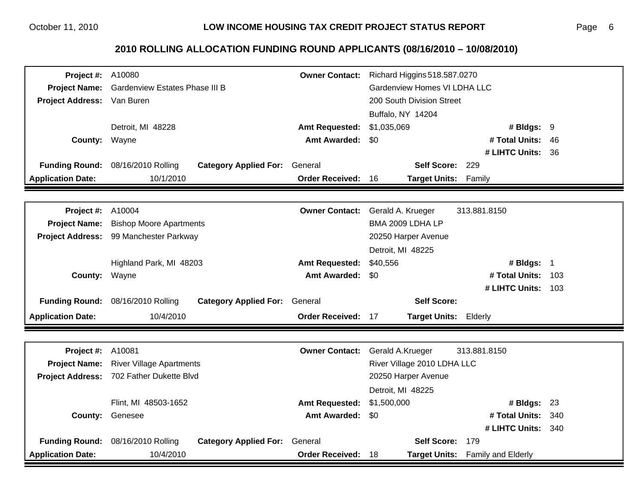| <b>Project #: A10080</b>   |                                                                   |                        | Owner Contact: Richard Higgins 518.587.0270 |  |  |
|----------------------------|-------------------------------------------------------------------|------------------------|---------------------------------------------|--|--|
|                            | Project Name: Gardenview Estates Phase III B                      |                        | Gardenview Homes VI LDHA LLC                |  |  |
| Project Address: Van Buren |                                                                   |                        | 200 South Division Street                   |  |  |
|                            |                                                                   |                        | Buffalo, NY 14204                           |  |  |
|                            | Detroit, MI 48228                                                 | <b>Amt Requested:</b>  | \$1,035,069<br># Bldgs: 9                   |  |  |
| County: Wayne              |                                                                   | <b>Amt Awarded:</b>    | \$0<br># Total Units: 46                    |  |  |
|                            |                                                                   |                        | # LIHTC Units: 36                           |  |  |
|                            | Funding Round: 08/16/2010 Rolling<br><b>Category Applied For:</b> | General                | Self Score: 229                             |  |  |
| <b>Application Date:</b>   | 10/1/2010                                                         | <b>Order Received:</b> | 16<br>Target Units: Family                  |  |  |
|                            |                                                                   |                        |                                             |  |  |
| <b>Project #: A10004</b>   |                                                                   | <b>Owner Contact:</b>  | 313.881.8150<br>Gerald A. Krueger           |  |  |
| <b>Project Name:</b>       | <b>Bishop Moore Apartments</b>                                    |                        | BMA 2009 LDHA LP                            |  |  |
|                            | Project Address: 99 Manchester Parkway                            |                        | 20250 Harper Avenue                         |  |  |
|                            |                                                                   |                        | Detroit, MI 48225                           |  |  |
|                            | Highland Park, MI 48203                                           | <b>Amt Requested:</b>  | \$40,556<br># Bldgs: 1                      |  |  |
| County: Wayne              |                                                                   | Amt Awarded: \$0       | # Total Units: 103                          |  |  |
|                            |                                                                   |                        | # LIHTC Units: 103                          |  |  |
|                            | Funding Round: 08/16/2010 Rolling<br><b>Category Applied For:</b> | General                | <b>Self Score:</b>                          |  |  |
| <b>Application Date:</b>   | 10/4/2010                                                         | <b>Order Received:</b> | Target Units: Elderly<br>- 17               |  |  |
|                            |                                                                   |                        |                                             |  |  |
| <b>Project #: A10081</b>   |                                                                   | <b>Owner Contact:</b>  | Gerald A.Krueger<br>313.881.8150            |  |  |
|                            | <b>Project Name:</b> River Village Apartments                     |                        | River Village 2010 LDHA LLC                 |  |  |
|                            | Project Address: 702 Father Dukette Blvd                          |                        | 20250 Harper Avenue                         |  |  |
|                            |                                                                   |                        | Detroit, MI 48225                           |  |  |
|                            | Flint, MI 48503-1652                                              | <b>Amt Requested:</b>  | \$1,500,000<br># Bldgs: 23                  |  |  |
|                            | <b>County: Genesee</b>                                            | <b>Amt Awarded:</b>    | \$0<br># Total Units: 340                   |  |  |
|                            |                                                                   |                        | # LIHTC Units: 340                          |  |  |
|                            | Funding Round: 08/16/2010 Rolling<br><b>Category Applied For:</b> | General                | <b>Self Score:</b><br>179                   |  |  |
| <b>Application Date:</b>   | 10/4/2010                                                         | <b>Order Received:</b> | 18<br>Target Units: Family and Elderly      |  |  |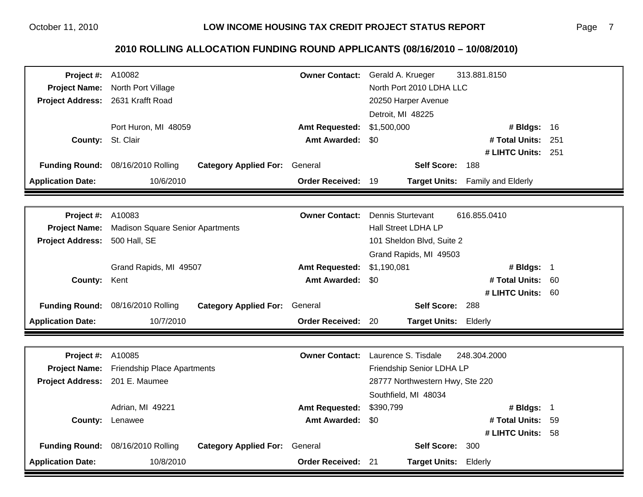| <b>Project #: A10082</b>       |                                         | <b>Owner Contact:</b>                   | Gerald A. Krueger                   | 313.881.8150                     |     |
|--------------------------------|-----------------------------------------|-----------------------------------------|-------------------------------------|----------------------------------|-----|
| <b>Project Name:</b>           | North Port Village                      |                                         | North Port 2010 LDHA LLC            |                                  |     |
| <b>Project Address:</b>        | 2631 Krafft Road                        |                                         | 20250 Harper Avenue                 |                                  |     |
|                                |                                         |                                         | Detroit, MI 48225                   |                                  |     |
|                                | Port Huron, MI 48059                    | <b>Amt Requested:</b>                   | \$1,500,000                         | # Bldgs: 16                      |     |
| County: St. Clair              |                                         | Amt Awarded: \$0                        |                                     | # Total Units:                   | 251 |
|                                |                                         |                                         |                                     | # LIHTC Units: 251               |     |
| <b>Funding Round:</b>          | 08/16/2010 Rolling                      | <b>Category Applied For:</b><br>General | Self Score: 188                     |                                  |     |
| <b>Application Date:</b>       | 10/6/2010                               | <b>Order Received:</b>                  | - 19                                | Target Units: Family and Elderly |     |
|                                |                                         |                                         |                                     |                                  |     |
| <b>Project #: A10083</b>       |                                         | <b>Owner Contact:</b>                   | <b>Dennis Sturtevant</b>            | 616.855.0410                     |     |
| <b>Project Name:</b>           | <b>Madison Square Senior Apartments</b> |                                         | <b>Hall Street LDHA LP</b>          |                                  |     |
| <b>Project Address:</b>        | 500 Hall, SE                            |                                         | 101 Sheldon Blvd, Suite 2           |                                  |     |
|                                |                                         |                                         | Grand Rapids, MI 49503              |                                  |     |
|                                | Grand Rapids, MI 49507                  | <b>Amt Requested:</b>                   | \$1,190,081                         | # Bldgs: 1                       |     |
| County: Kent                   |                                         | Amt Awarded: \$0                        |                                     | # Total Units:                   | 60  |
|                                |                                         |                                         |                                     | # LIHTC Units: 60                |     |
| <b>Funding Round:</b>          | 08/16/2010 Rolling                      | <b>Category Applied For: General</b>    | Self Score: 288                     |                                  |     |
| <b>Application Date:</b>       | 10/7/2010                               | <b>Order Received:</b>                  | 20<br><b>Target Units: Elderly</b>  |                                  |     |
|                                |                                         |                                         |                                     |                                  |     |
| <b>Project #: A10085</b>       |                                         | <b>Owner Contact:</b>                   | Laurence S. Tisdale                 | 248.304.2000                     |     |
| <b>Project Name:</b>           | <b>Friendship Place Apartments</b>      |                                         | Friendship Senior LDHA LP           |                                  |     |
| Project Address: 201 E. Maumee |                                         |                                         | 28777 Northwestern Hwy, Ste 220     |                                  |     |
|                                |                                         |                                         | Southfield, MI 48034                |                                  |     |
|                                | Adrian, MI 49221                        | <b>Amt Requested:</b>                   | \$390,799                           | # Bldgs: 1                       |     |
| County:                        | Lenawee                                 | <b>Amt Awarded:</b>                     | - \$0                               | # Total Units: 59                |     |
|                                |                                         |                                         |                                     | # LIHTC Units: 58                |     |
| <b>Funding Round:</b>          | 08/16/2010 Rolling                      | <b>Category Applied For: General</b>    | Self Score: 300                     |                                  |     |
| <b>Application Date:</b>       | 10/8/2010                               | <b>Order Received:</b>                  | -21<br><b>Target Units: Elderly</b> |                                  |     |